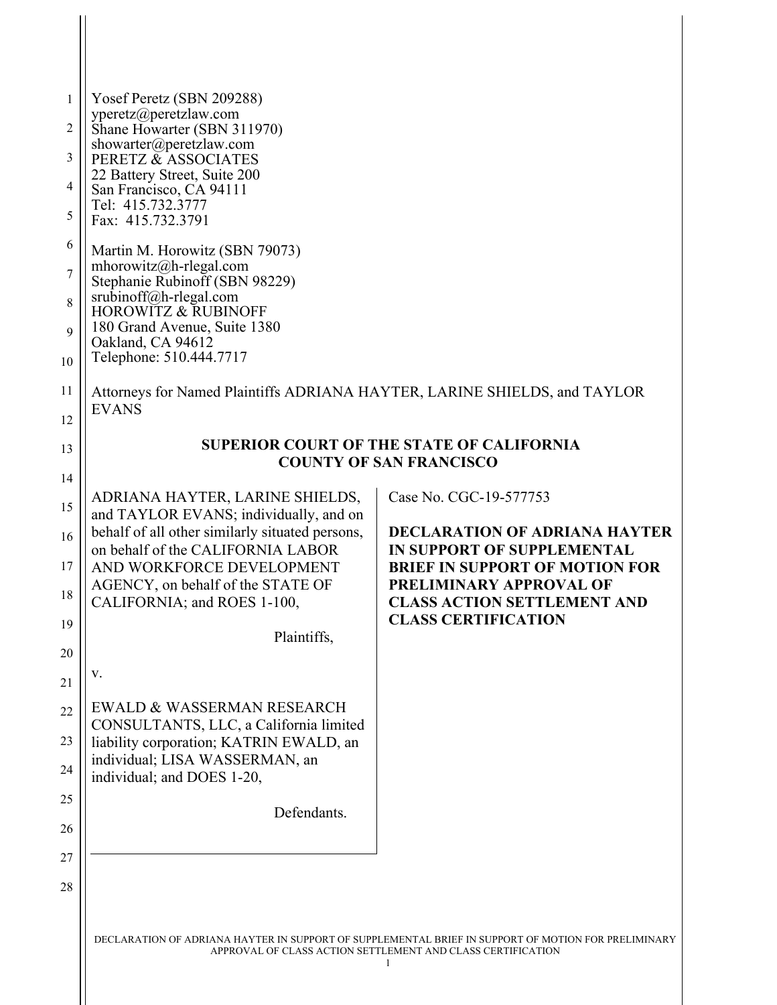| 1<br>2<br>3<br>4<br>5<br>6<br>$\overline{7}$             | Yosef Peretz (SBN 209288)<br>yperetz@peretzlaw.com<br>Shane Howarter (SBN 311970)<br>showarter@peretzlaw.com<br>PERETZ & ASSOCIATES<br>22 Battery Street, Suite 200<br>San Francisco, CA 94111<br>Tel: 415.732.3777<br>Fax: 415.732.3791<br>Martin M. Horowitz (SBN 79073)<br>mhorowitz@h-rlegal.com<br>Stephanie Rubinoff (SBN 98229)                                                                                                                                     |                                                                                                                                                                                                                                      |
|----------------------------------------------------------|----------------------------------------------------------------------------------------------------------------------------------------------------------------------------------------------------------------------------------------------------------------------------------------------------------------------------------------------------------------------------------------------------------------------------------------------------------------------------|--------------------------------------------------------------------------------------------------------------------------------------------------------------------------------------------------------------------------------------|
| 8<br>9<br>10                                             | srubinoff@h-rlegal.com<br><b>HOROWITZ &amp; RUBINOFF</b><br>180 Grand Avenue, Suite 1380<br>Oakland, CA 94612<br>Telephone: 510.444.7717                                                                                                                                                                                                                                                                                                                                   |                                                                                                                                                                                                                                      |
| 11<br>12                                                 | Attorneys for Named Plaintiffs ADRIANA HAYTER, LARINE SHIELDS, and TAYLOR<br><b>EVANS</b>                                                                                                                                                                                                                                                                                                                                                                                  |                                                                                                                                                                                                                                      |
| 13<br>14                                                 | <b>SUPERIOR COURT OF THE STATE OF CALIFORNIA</b><br><b>COUNTY OF SAN FRANCISCO</b>                                                                                                                                                                                                                                                                                                                                                                                         |                                                                                                                                                                                                                                      |
| 15<br>16<br>17<br>18<br>19<br>20<br>21<br>22<br>23<br>24 | ADRIANA HAYTER, LARINE SHIELDS,<br>and TAYLOR EVANS; individually, and on<br>behalf of all other similarly situated persons,<br>on behalf of the CALIFORNIA LABOR<br>AND WORKFORCE DEVELOPMENT<br>AGENCY, on behalf of the STATE OF<br>CALIFORNIA; and ROES 1-100,<br>Plaintiffs,<br>V.<br>EWALD & WASSERMAN RESEARCH<br>CONSULTANTS, LLC, a California limited<br>liability corporation; KATRIN EWALD, an<br>individual; LISA WASSERMAN, an<br>individual; and DOES 1-20, | Case No. CGC-19-577753<br><b>DECLARATION OF ADRIANA HAYTER</b><br>IN SUPPORT OF SUPPLEMENTAL<br><b>BRIEF IN SUPPORT OF MOTION FOR</b><br>PRELIMINARY APPROVAL OF<br><b>CLASS ACTION SETTLEMENT AND</b><br><b>CLASS CERTIFICATION</b> |
| 25<br>26                                                 | Defendants.                                                                                                                                                                                                                                                                                                                                                                                                                                                                |                                                                                                                                                                                                                                      |
| 27<br>28                                                 |                                                                                                                                                                                                                                                                                                                                                                                                                                                                            |                                                                                                                                                                                                                                      |

 $\frac{1}{2}$ 

DECLARATION OF ADRIANA HAYTER IN SUPPORT OF SUPPLEMENTAL BRIEF IN SUPPORT OF MOTION FOR PRELIMINARY APPROVAL OF CLASS ACTION SETTLEMENT AND CLASS CERTIFICATION 1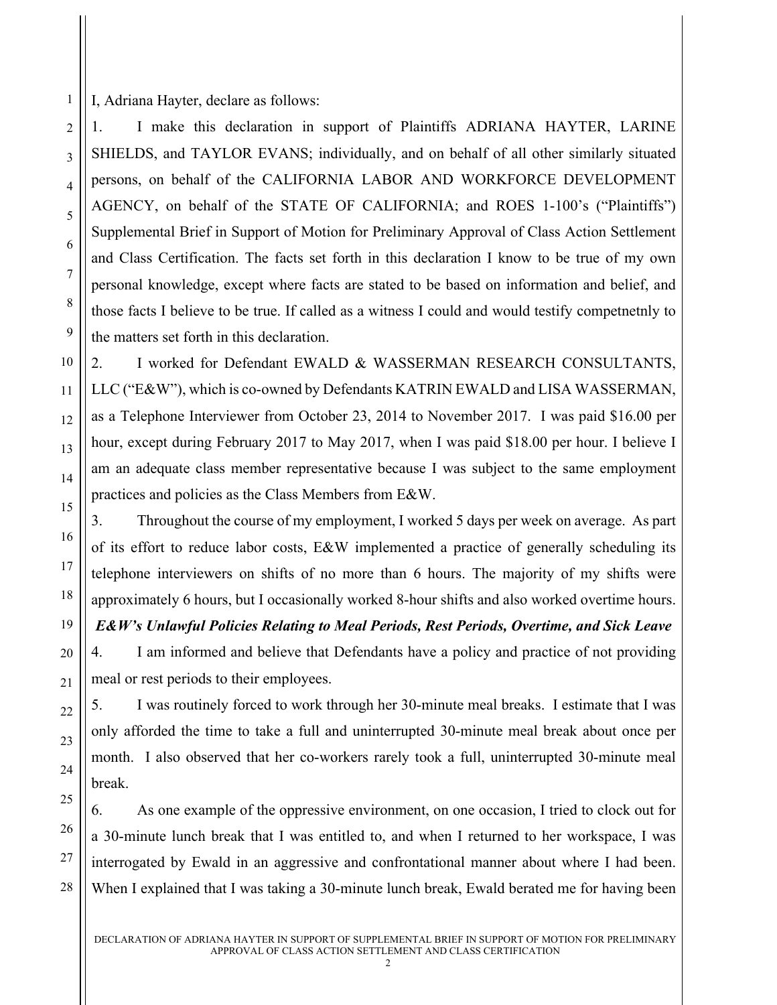I, Adriana Hayter, declare as follows:

1

2

3

4

5

6

7

8

9

10

11

12

13

14

15

16

17

18

19

20

21

22

23

24

25

1. I make this declaration in support of Plaintiffs ADRIANA HAYTER, LARINE SHIELDS, and TAYLOR EVANS; individually, and on behalf of all other similarly situated persons, on behalf of the CALIFORNIA LABOR AND WORKFORCE DEVELOPMENT AGENCY, on behalf of the STATE OF CALIFORNIA; and ROES 1-100's ("Plaintiffs") Supplemental Brief in Support of Motion for Preliminary Approval of Class Action Settlement and Class Certification. The facts set forth in this declaration I know to be true of my own personal knowledge, except where facts are stated to be based on information and belief, and those facts I believe to be true. If called as a witness I could and would testify competnetnly to the matters set forth in this declaration.

2. I worked for Defendant EWALD & WASSERMAN RESEARCH CONSULTANTS, LLC ("E&W"), which is co-owned by Defendants KATRIN EWALD and LISA WASSERMAN, as a Telephone Interviewer from October 23, 2014 to November 2017. I was paid \$16.00 per hour, except during February 2017 to May 2017, when I was paid \$18.00 per hour. I believe I am an adequate class member representative because I was subject to the same employment practices and policies as the Class Members from E&W.

3. Throughout the course of my employment, I worked 5 days per week on average. As part of its effort to reduce labor costs, E&W implemented a practice of generally scheduling its telephone interviewers on shifts of no more than 6 hours. The majority of my shifts were approximately 6 hours, but I occasionally worked 8-hour shifts and also worked overtime hours.

*E&W's Unlawful Policies Relating to Meal Periods, Rest Periods, Overtime, and Sick Leave*

4. I am informed and believe that Defendants have a policy and practice of not providing meal or rest periods to their employees.

5. I was routinely forced to work through her 30-minute meal breaks. I estimate that I was only afforded the time to take a full and uninterrupted 30-minute meal break about once per month. I also observed that her co-workers rarely took a full, uninterrupted 30-minute meal break.

6. As one example of the oppressive environment, on one occasion, I tried to clock out for a 30-minute lunch break that I was entitled to, and when I returned to her workspace, I was interrogated by Ewald in an aggressive and confrontational manner about where I had been. When I explained that I was taking a 30-minute lunch break, Ewald berated me for having been

28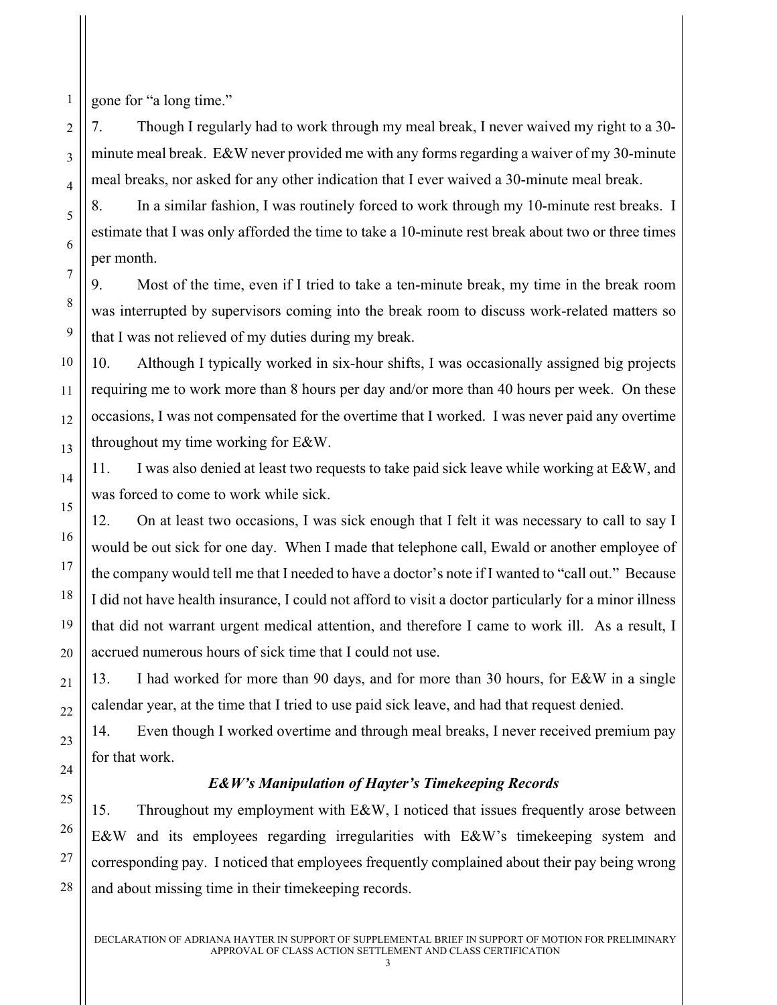gone for "a long time."

1

2

3

4

5

6

7

8

9

10

11

12

13

14

15

7. Though I regularly had to work through my meal break, I never waived my right to a 30 minute meal break. E&W never provided me with any forms regarding a waiver of my 30-minute meal breaks, nor asked for any other indication that I ever waived a 30-minute meal break.

8. In a similar fashion, I was routinely forced to work through my 10-minute rest breaks. I estimate that I was only afforded the time to take a 10-minute rest break about two or three times per month.

9. Most of the time, even if I tried to take a ten-minute break, my time in the break room was interrupted by supervisors coming into the break room to discuss work-related matters so that I was not relieved of my duties during my break.

10. Although I typically worked in six-hour shifts, I was occasionally assigned big projects requiring me to work more than 8 hours per day and/or more than 40 hours per week. On these occasions, I was not compensated for the overtime that I worked. I was never paid any overtime throughout my time working for E&W.

11. I was also denied at least two requests to take paid sick leave while working at  $E\&W$ , and was forced to come to work while sick.

12. On at least two occasions, I was sick enough that I felt it was necessary to call to say I would be out sick for one day. When I made that telephone call, Ewald or another employee of the company would tell me that I needed to have a doctor's note if I wanted to "call out." Because I did not have health insurance, I could not afford to visit a doctor particularly for a minor illness that did not warrant urgent medical attention, and therefore I came to work ill. As a result, I accrued numerous hours of sick time that I could not use.

13. I had worked for more than 90 days, and for more than 30 hours, for E&W in a single calendar year, at the time that I tried to use paid sick leave, and had that request denied.

14. Even though I worked overtime and through meal breaks, I never received premium pay for that work.

## *E&W's Manipulation of Hayter's Timekeeping Records*

15. Throughout my employment with E&W, I noticed that issues frequently arose between E&W and its employees regarding irregularities with E&W's timekeeping system and corresponding pay. I noticed that employees frequently complained about their pay being wrong and about missing time in their timekeeping records.

28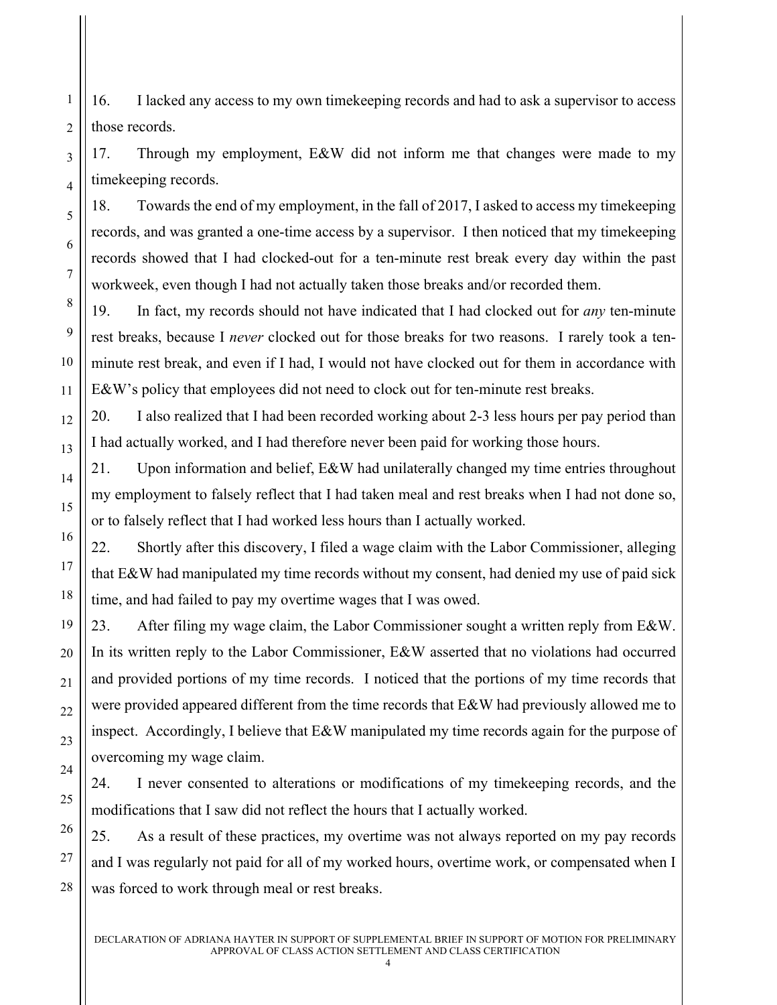16. I lacked any access to my own timekeeping records and had to ask a supervisor to access those records.

1

2

3

4

5

6

7

8

9

10

11

12

13

14

15

16

17

18

19

20

21

22

23

24

25

26

27

28

17. Through my employment, E&W did not inform me that changes were made to my timekeeping records.

18. Towards the end of my employment, in the fall of 2017, I asked to access my timekeeping records, and was granted a one-time access by a supervisor. I then noticed that my timekeeping records showed that I had clocked-out for a ten-minute rest break every day within the past workweek, even though I had not actually taken those breaks and/or recorded them.

19. In fact, my records should not have indicated that I had clocked out for *any* ten-minute rest breaks, because I *never* clocked out for those breaks for two reasons. I rarely took a tenminute rest break, and even if I had, I would not have clocked out for them in accordance with E&W's policy that employees did not need to clock out for ten-minute rest breaks.

20. I also realized that I had been recorded working about 2-3 less hours per pay period than I had actually worked, and I had therefore never been paid for working those hours.

21. Upon information and belief, E&W had unilaterally changed my time entries throughout my employment to falsely reflect that I had taken meal and rest breaks when I had not done so, or to falsely reflect that I had worked less hours than I actually worked.

22. Shortly after this discovery, I filed a wage claim with the Labor Commissioner, alleging that E&W had manipulated my time records without my consent, had denied my use of paid sick time, and had failed to pay my overtime wages that I was owed.

23. After filing my wage claim, the Labor Commissioner sought a written reply from E&W. In its written reply to the Labor Commissioner, E&W asserted that no violations had occurred and provided portions of my time records. I noticed that the portions of my time records that were provided appeared different from the time records that E&W had previously allowed me to inspect. Accordingly, I believe that E&W manipulated my time records again for the purpose of overcoming my wage claim.

24. I never consented to alterations or modifications of my timekeeping records, and the modifications that I saw did not reflect the hours that I actually worked.

25. As a result of these practices, my overtime was not always reported on my pay records and I was regularly not paid for all of my worked hours, overtime work, or compensated when I was forced to work through meal or rest breaks.